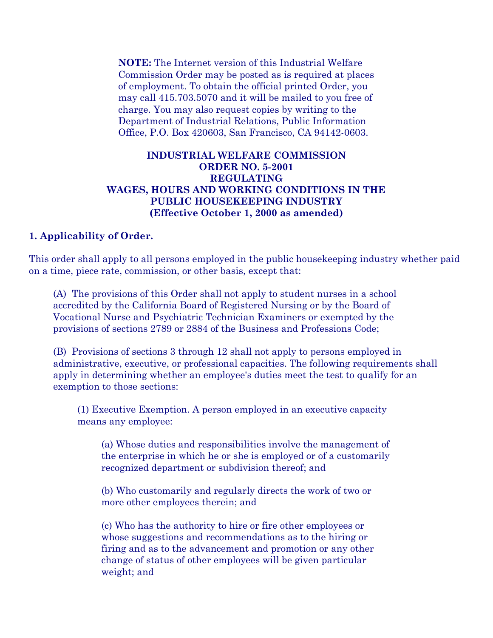**NOTE:** The Internet version of this Industrial Welfare Commission Order may be posted as is required at places of employment. To obtain the official printed Order, you may call 415.703.5070 and it will be mailed to you free of charge. You may also request copies by writing to the Department of Industrial Relations, Public Information Office, P.O. Box 420603, San Francisco, CA 94142-0603.

### **INDUSTRIAL WELFARE COMMISSION ORDER NO. 5-2001 REGULATING WAGES, HOURS AND WORKING CONDITIONS IN THE PUBLIC HOUSEKEEPING INDUSTRY (Effective October 1, 2000 as amended)**

### **1. Applicability of Order.**

This order shall apply to all persons employed in the public housekeeping industry whether paid on a time, piece rate, commission, or other basis, except that:

(A) The provisions of this Order shall not apply to student nurses in a school accredited by the California Board of Registered Nursing or by the Board of Vocational Nurse and Psychiatric Technician Examiners or exempted by the provisions of sections 2789 or 2884 of the Business and Professions Code;

(B) Provisions of sections 3 through 12 shall not apply to persons employed in administrative, executive, or professional capacities. The following requirements shall apply in determining whether an employee's duties meet the test to qualify for an exemption to those sections:

(1) Executive Exemption. A person employed in an executive capacity means any employee:

(a) Whose duties and responsibilities involve the management of the enterprise in which he or she is employed or of a customarily recognized department or subdivision thereof; and

(b) Who customarily and regularly directs the work of two or more other employees therein; and

(c) Who has the authority to hire or fire other employees or whose suggestions and recommendations as to the hiring or firing and as to the advancement and promotion or any other change of status of other employees will be given particular weight; and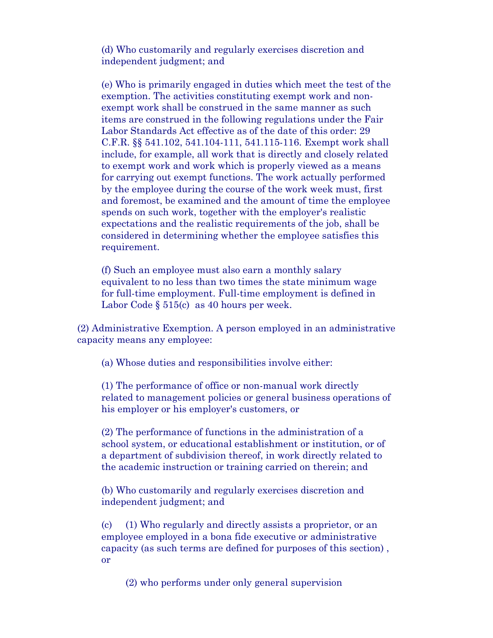(d) Who customarily and regularly exercises discretion and independent judgment; and

(e) Who is primarily engaged in duties which meet the test of the exemption. The activities constituting exempt work and nonexempt work shall be construed in the same manner as such items are construed in the following regulations under the Fair Labor Standards Act effective as of the date of this order: 29 C.F.R. §§ 541.102, 541.104-111, 541.115-116. Exempt work shall include, for example, all work that is directly and closely related to exempt work and work which is properly viewed as a means for carrying out exempt functions. The work actually performed by the employee during the course of the work week must, first and foremost, be examined and the amount of time the employee spends on such work, together with the employer's realistic expectations and the realistic requirements of the job, shall be considered in determining whether the employee satisfies this requirement.

(f) Such an employee must also earn a monthly salary equivalent to no less than two times the state minimum wage for full-time employment. Full-time employment is defined in Labor Code § 515(c) as 40 hours per week.

(2) Administrative Exemption. A person employed in an administrative capacity means any employee:

(a) Whose duties and responsibilities involve either:

(1) The performance of office or non-manual work directly related to management policies or general business operations of his employer or his employer's customers, or

(2) The performance of functions in the administration of a school system, or educational establishment or institution, or of a department of subdivision thereof, in work directly related to the academic instruction or training carried on therein; and

(b) Who customarily and regularly exercises discretion and independent judgment; and

(c) (1) Who regularly and directly assists a proprietor, or an employee employed in a bona fide executive or administrative capacity (as such terms are defined for purposes of this section) , or

(2) who performs under only general supervision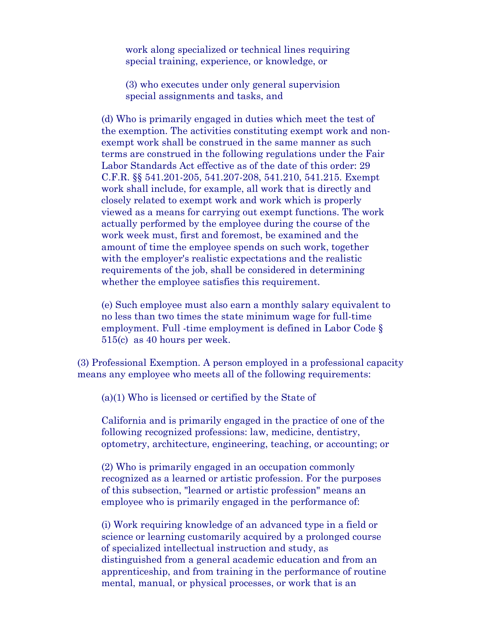work along specialized or technical lines requiring special training, experience, or knowledge, or

(3) who executes under only general supervision special assignments and tasks, and

(d) Who is primarily engaged in duties which meet the test of the exemption. The activities constituting exempt work and nonexempt work shall be construed in the same manner as such terms are construed in the following regulations under the Fair Labor Standards Act effective as of the date of this order: 29 C.F.R. §§ 541.201-205, 541.207-208, 541.210, 541.215. Exempt work shall include, for example, all work that is directly and closely related to exempt work and work which is properly viewed as a means for carrying out exempt functions. The work actually performed by the employee during the course of the work week must, first and foremost, be examined and the amount of time the employee spends on such work, together with the employer's realistic expectations and the realistic requirements of the job, shall be considered in determining whether the employee satisfies this requirement.

(e) Such employee must also earn a monthly salary equivalent to no less than two times the state minimum wage for full-time employment. Full -time employment is defined in Labor Code § 515(c) as 40 hours per week.

(3) Professional Exemption. A person employed in a professional capacity means any employee who meets all of the following requirements:

(a)(1) Who is licensed or certified by the State of

California and is primarily engaged in the practice of one of the following recognized professions: law, medicine, dentistry, optometry, architecture, engineering, teaching, or accounting; or

(2) Who is primarily engaged in an occupation commonly recognized as a learned or artistic profession. For the purposes of this subsection, "learned or artistic profession" means an employee who is primarily engaged in the performance of:

(i) Work requiring knowledge of an advanced type in a field or science or learning customarily acquired by a prolonged course of specialized intellectual instruction and study, as distinguished from a general academic education and from an apprenticeship, and from training in the performance of routine mental, manual, or physical processes, or work that is an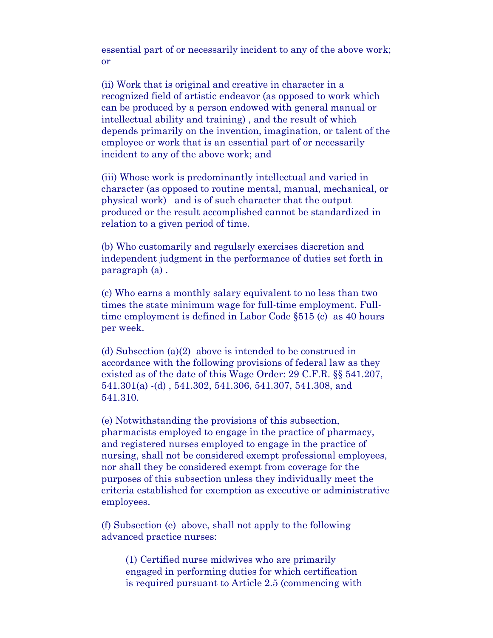essential part of or necessarily incident to any of the above work; or

(ii) Work that is original and creative in character in a recognized field of artistic endeavor (as opposed to work which can be produced by a person endowed with general manual or intellectual ability and training) , and the result of which depends primarily on the invention, imagination, or talent of the employee or work that is an essential part of or necessarily incident to any of the above work; and

(iii) Whose work is predominantly intellectual and varied in character (as opposed to routine mental, manual, mechanical, or physical work) and is of such character that the output produced or the result accomplished cannot be standardized in relation to a given period of time.

(b) Who customarily and regularly exercises discretion and independent judgment in the performance of duties set forth in paragraph (a) .

(c) Who earns a monthly salary equivalent to no less than two times the state minimum wage for full-time employment. Fulltime employment is defined in Labor Code §515 (c) as 40 hours per week.

(d) Subsection (a)(2) above is intended to be construed in accordance with the following provisions of federal law as they existed as of the date of this Wage Order: 29 C.F.R. §§ 541.207, 541.301(a) -(d) , 541.302, 541.306, 541.307, 541.308, and 541.310.

(e) Notwithstanding the provisions of this subsection, pharmacists employed to engage in the practice of pharmacy, and registered nurses employed to engage in the practice of nursing, shall not be considered exempt professional employees, nor shall they be considered exempt from coverage for the purposes of this subsection unless they individually meet the criteria established for exemption as executive or administrative employees.

(f) Subsection (e) above, shall not apply to the following advanced practice nurses:

(1) Certified nurse midwives who are primarily engaged in performing duties for which certification is required pursuant to Article 2.5 (commencing with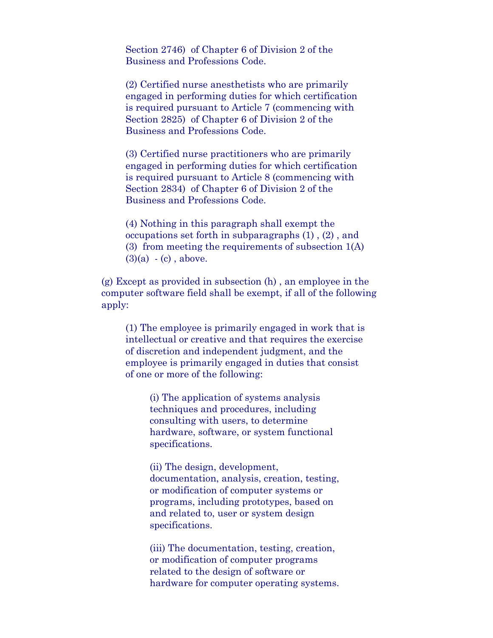Section 2746) of Chapter 6 of Division 2 of the Business and Professions Code.

(2) Certified nurse anesthetists who are primarily engaged in performing duties for which certification is required pursuant to Article 7 (commencing with Section 2825) of Chapter 6 of Division 2 of the Business and Professions Code.

(3) Certified nurse practitioners who are primarily engaged in performing duties for which certification is required pursuant to Article 8 (commencing with Section 2834) of Chapter 6 of Division 2 of the Business and Professions Code.

(4) Nothing in this paragraph shall exempt the occupations set forth in subparagraphs (1) , (2) , and (3) from meeting the requirements of subsection 1(A)  $(3)(a) - (c)$ , above.

(g) Except as provided in subsection (h) , an employee in the computer software field shall be exempt, if all of the following apply:

(1) The employee is primarily engaged in work that is intellectual or creative and that requires the exercise of discretion and independent judgment, and the employee is primarily engaged in duties that consist of one or more of the following:

(i) The application of systems analysis techniques and procedures, including consulting with users, to determine hardware, software, or system functional specifications.

(ii) The design, development, documentation, analysis, creation, testing, or modification of computer systems or programs, including prototypes, based on and related to, user or system design specifications.

(iii) The documentation, testing, creation, or modification of computer programs related to the design of software or hardware for computer operating systems.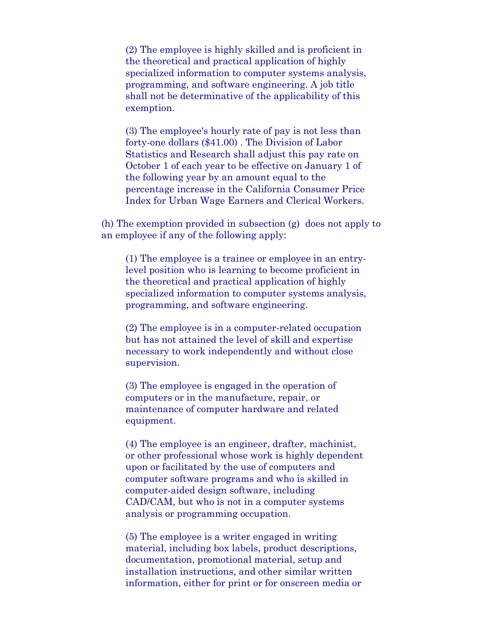(2) The employee is highly skilled and is proficient in the theoretical and practical application of highly specialized information to computer systems analysis, programming, and software engineering. A job title shall not be determinative of the applicability of this exemption.

(3) The employee's hourly rate of pay is not less than forty-one dollars (\$41.00) . The Division of Labor Statistics and Research shall adjust this pay rate on October 1 of each year to be effective on January 1 of the following year by an amount equal to the percentage increase in the California Consumer Price Index for Urban Wage Earners and Clerical Workers.

(h) The exemption provided in subsection (g) does not apply to an employee if any of the following apply:

(1) The employee is a trainee or employee in an entrylevel position who is learning to become proficient in the theoretical and practical application of highly specialized information to computer systems analysis, programming, and software engineering.

(2) The employee is in a computer-related occupation but has not attained the level of skill and expertise necessary to work independently and without close supervision.

(3) The employee is engaged in the operation of computers or in the manufacture, repair, or maintenance of computer hardware and related equipment.

(4) The employee is an engineer, drafter, machinist, or other professional whose work is highly dependent upon or facilitated by the use of computers and computer software programs and who is skilled in computer-aided design software, including CAD/CAM, but who is not in a computer systems analysis or programming occupation.

(5) The employee is a writer engaged in writing material, including box labels, product descriptions, documentation, promotional material, setup and installation instructions, and other similar written information, either for print or for onscreen media or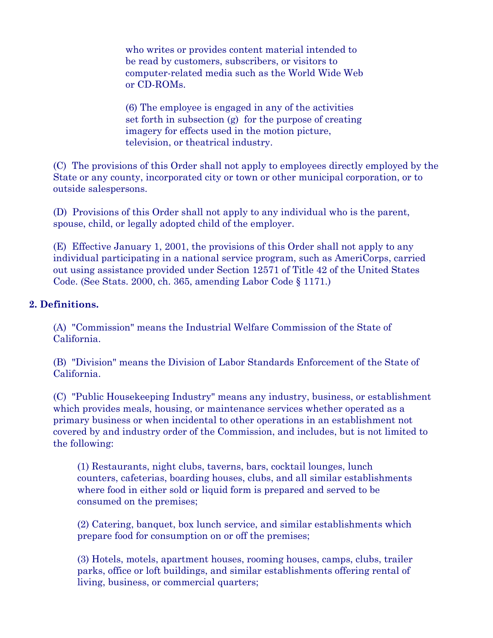who writes or provides content material intended to be read by customers, subscribers, or visitors to computer-related media such as the World Wide Web or CD-ROMs.

(6) The employee is engaged in any of the activities set forth in subsection (g) for the purpose of creating imagery for effects used in the motion picture, television, or theatrical industry.

(C) The provisions of this Order shall not apply to employees directly employed by the State or any county, incorporated city or town or other municipal corporation, or to outside salespersons.

(D) Provisions of this Order shall not apply to any individual who is the parent, spouse, child, or legally adopted child of the employer.

(E) Effective January 1, 2001, the provisions of this Order shall not apply to any individual participating in a national service program, such as AmeriCorps, carried out using assistance provided under Section 12571 of Title 42 of the United States Code. (See Stats. 2000, ch. 365, amending Labor Code § 1171.)

### **2. Definitions.**

(A) "Commission" means the Industrial Welfare Commission of the State of California.

(B) "Division" means the Division of Labor Standards Enforcement of the State of California.

(C) "Public Housekeeping Industry" means any industry, business, or establishment which provides meals, housing, or maintenance services whether operated as a primary business or when incidental to other operations in an establishment not covered by and industry order of the Commission, and includes, but is not limited to the following:

(1) Restaurants, night clubs, taverns, bars, cocktail lounges, lunch counters, cafeterias, boarding houses, clubs, and all similar establishments where food in either sold or liquid form is prepared and served to be consumed on the premises;

(2) Catering, banquet, box lunch service, and similar establishments which prepare food for consumption on or off the premises;

(3) Hotels, motels, apartment houses, rooming houses, camps, clubs, trailer parks, office or loft buildings, and similar establishments offering rental of living, business, or commercial quarters;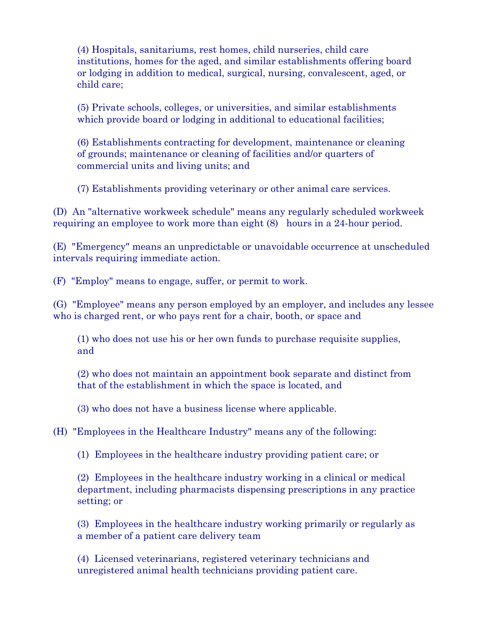(4) Hospitals, sanitariums, rest homes, child nurseries, child care institutions, homes for the aged, and similar establishments offering board or lodging in addition to medical, surgical, nursing, convalescent, aged, or child care;

(5) Private schools, colleges, or universities, and similar establishments which provide board or lodging in additional to educational facilities;

(6) Establishments contracting for development, maintenance or cleaning of grounds; maintenance or cleaning of facilities and/or quarters of commercial units and living units; and

(7) Establishments providing veterinary or other animal care services.

(D) An "alternative workweek schedule" means any regularly scheduled workweek requiring an employee to work more than eight (8) hours in a 24-hour period.

(E) "Emergency" means an unpredictable or unavoidable occurrence at unscheduled intervals requiring immediate action.

(F) "Employ" means to engage, suffer, or permit to work.

(G) "Employee" means any person employed by an employer, and includes any lessee who is charged rent, or who pays rent for a chair, booth, or space and

(1) who does not use his or her own funds to purchase requisite supplies, and

(2) who does not maintain an appointment book separate and distinct from that of the establishment in which the space is located, and

(3) who does not have a business license where applicable.

(H) "Employees in the Healthcare Industry" means any of the following:

(1) Employees in the healthcare industry providing patient care; or

(2) Employees in the healthcare industry working in a clinical or medical department, including pharmacists dispensing prescriptions in any practice setting; or

(3) Employees in the healthcare industry working primarily or regularly as a member of a patient care delivery team

(4) Licensed veterinarians, registered veterinary technicians and unregistered animal health technicians providing patient care.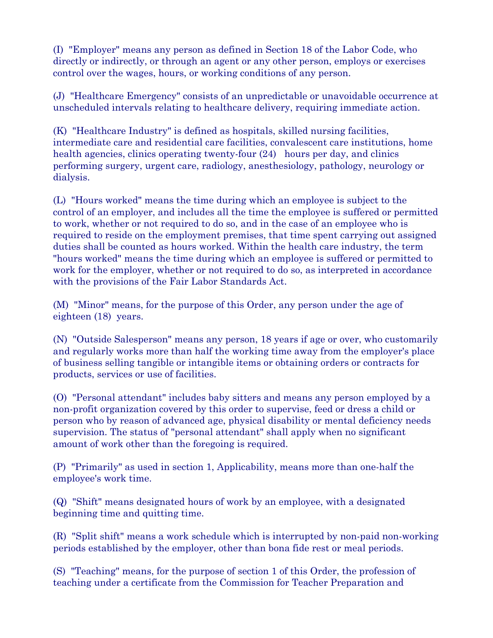(I) "Employer" means any person as defined in Section 18 of the Labor Code, who directly or indirectly, or through an agent or any other person, employs or exercises control over the wages, hours, or working conditions of any person.

(J) "Healthcare Emergency" consists of an unpredictable or unavoidable occurrence at unscheduled intervals relating to healthcare delivery, requiring immediate action.

(K) "Healthcare Industry" is defined as hospitals, skilled nursing facilities, intermediate care and residential care facilities, convalescent care institutions, home health agencies, clinics operating twenty-four  $(24)$  hours per day, and clinics performing surgery, urgent care, radiology, anesthesiology, pathology, neurology or dialysis.

(L) "Hours worked" means the time during which an employee is subject to the control of an employer, and includes all the time the employee is suffered or permitted to work, whether or not required to do so, and in the case of an employee who is required to reside on the employment premises, that time spent carrying out assigned duties shall be counted as hours worked. Within the health care industry, the term "hours worked" means the time during which an employee is suffered or permitted to work for the employer, whether or not required to do so, as interpreted in accordance with the provisions of the Fair Labor Standards Act.

(M) "Minor" means, for the purpose of this Order, any person under the age of eighteen (18) years.

(N) "Outside Salesperson" means any person, 18 years if age or over, who customarily and regularly works more than half the working time away from the employer's place of business selling tangible or intangible items or obtaining orders or contracts for products, services or use of facilities.

(O) "Personal attendant" includes baby sitters and means any person employed by a non-profit organization covered by this order to supervise, feed or dress a child or person who by reason of advanced age, physical disability or mental deficiency needs supervision. The status of "personal attendant" shall apply when no significant amount of work other than the foregoing is required.

(P) "Primarily" as used in section 1, Applicability, means more than one-half the employee's work time.

(Q) "Shift" means designated hours of work by an employee, with a designated beginning time and quitting time.

(R) "Split shift" means a work schedule which is interrupted by non-paid non-working periods established by the employer, other than bona fide rest or meal periods.

(S) "Teaching" means, for the purpose of section 1 of this Order, the profession of teaching under a certificate from the Commission for Teacher Preparation and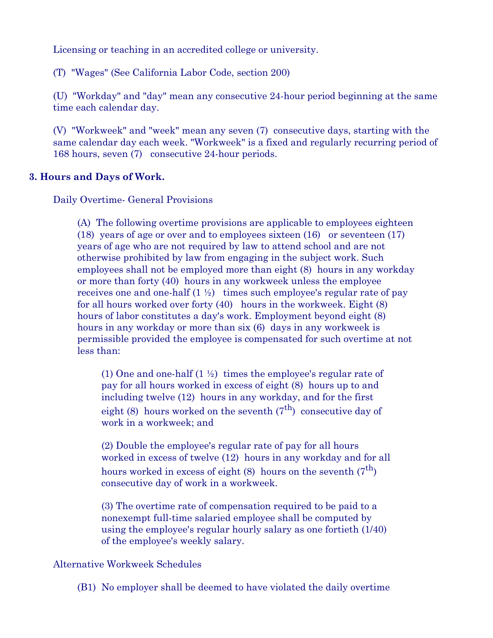Licensing or teaching in an accredited college or university.

(T) "Wages" (See California Labor Code, section 200)

(U) "Workday" and "day" mean any consecutive 24-hour period beginning at the same time each calendar day.

(V) "Workweek" and "week" mean any seven (7) consecutive days, starting with the same calendar day each week. "Workweek" is a fixed and regularly recurring period of 168 hours, seven (7) consecutive 24-hour periods.

#### **3. Hours and Days of Work.**

Daily Overtime- General Provisions

(A) The following overtime provisions are applicable to employees eighteen (18) years of age or over and to employees sixteen (16) or seventeen (17) years of age who are not required by law to attend school and are not otherwise prohibited by law from engaging in the subject work. Such employees shall not be employed more than eight (8) hours in any workday or more than forty (40) hours in any workweek unless the employee receives one and one-half  $(1 \frac{1}{2})$  times such employee's regular rate of pay for all hours worked over forty (40) hours in the workweek. Eight (8) hours of labor constitutes a day's work. Employment beyond eight (8) hours in any workday or more than six (6) days in any workweek is permissible provided the employee is compensated for such overtime at not less than:

(1) One and one-half  $(1 \frac{1}{2})$  times the employee's regular rate of pay for all hours worked in excess of eight (8) hours up to and including twelve (12) hours in any workday, and for the first eight (8) hours worked on the seventh  $(7<sup>th</sup>)$  consecutive day of work in a workweek; and

(2) Double the employee's regular rate of pay for all hours worked in excess of twelve (12) hours in any workday and for all hours worked in excess of eight (8) hours on the seventh  $(7<sup>th</sup>)$ consecutive day of work in a workweek.

 using the employee's regular hourly salary as one fortieth (1/40) of the employee's weekly salary. (3) The overtime rate of compensation required to be paid to a nonexempt full-time salaried employee shall be computed by

#### Alternative Workweek Schedules

(B1) No employer shall be deemed to have violated the daily overtime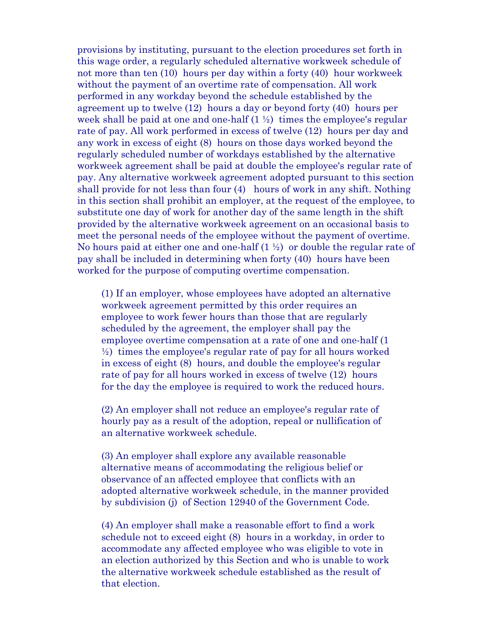provisions by instituting, pursuant to the election procedures set forth in this wage order, a regularly scheduled alternative workweek schedule of not more than ten (10) hours per day within a forty (40) hour workweek without the payment of an overtime rate of compensation. All work performed in any workday beyond the schedule established by the agreement up to twelve (12) hours a day or beyond forty (40) hours per week shall be paid at one and one-half  $(1 \frac{1}{2})$  times the employee's regular rate of pay. All work performed in excess of twelve (12) hours per day and any work in excess of eight (8) hours on those days worked beyond the regularly scheduled number of workdays established by the alternative workweek agreement shall be paid at double the employee's regular rate of pay. Any alternative workweek agreement adopted pursuant to this section shall provide for not less than four (4) hours of work in any shift. Nothing in this section shall prohibit an employer, at the request of the employee, to substitute one day of work for another day of the same length in the shift provided by the alternative workweek agreement on an occasional basis to meet the personal needs of the employee without the payment of overtime. No hours paid at either one and one-half  $(1 \frac{1}{2})$  or double the regular rate of pay shall be included in determining when forty (40) hours have been worked for the purpose of computing overtime compensation.

(1) If an employer, whose employees have adopted an alternative workweek agreement permitted by this order requires an employee to work fewer hours than those that are regularly scheduled by the agreement, the employer shall pay the employee overtime compensation at a rate of one and one-half (1  $\frac{1}{2}$  times the employee's regular rate of pay for all hours worked in excess of eight (8) hours, and double the employee's regular rate of pay for all hours worked in excess of twelve (12) hours for the day the employee is required to work the reduced hours.

(2) An employer shall not reduce an employee's regular rate of hourly pay as a result of the adoption, repeal or nullification of an alternative workweek schedule.

(3) An employer shall explore any available reasonable alternative means of accommodating the religious belief or observance of an affected employee that conflicts with an adopted alternative workweek schedule, in the manner provided by subdivision (j) of Section 12940 of the Government Code.

(4) An employer shall make a reasonable effort to find a work schedule not to exceed eight (8) hours in a workday, in order to accommodate any affected employee who was eligible to vote in an election authorized by this Section and who is unable to work the alternative workweek schedule established as the result of that election.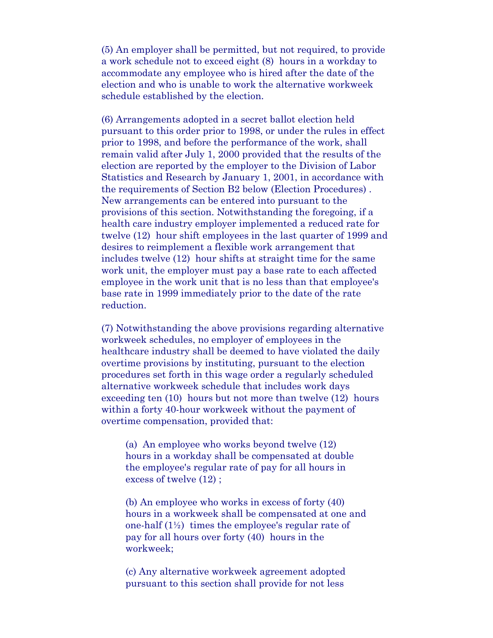(5) An employer shall be permitted, but not required, to provide a work schedule not to exceed eight (8) hours in a workday to accommodate any employee who is hired after the date of the election and who is unable to work the alternative workweek schedule established by the election.

(6) Arrangements adopted in a secret ballot election held pursuant to this order prior to 1998, or under the rules in effect prior to 1998, and before the performance of the work, shall remain valid after July 1, 2000 provided that the results of the election are reported by the employer to the Division of Labor Statistics and Research by January 1, 2001, in accordance with the requirements of Section B2 below (Election Procedures) . New arrangements can be entered into pursuant to the provisions of this section. Notwithstanding the foregoing, if a health care industry employer implemented a reduced rate for twelve (12) hour shift employees in the last quarter of 1999 and desires to reimplement a flexible work arrangement that includes twelve (12) hour shifts at straight time for the same work unit, the employer must pay a base rate to each affected employee in the work unit that is no less than that employee's base rate in 1999 immediately prior to the date of the rate reduction.

(7) Notwithstanding the above provisions regarding alternative workweek schedules, no employer of employees in the healthcare industry shall be deemed to have violated the daily overtime provisions by instituting, pursuant to the election procedures set forth in this wage order a regularly scheduled alternative workweek schedule that includes work days exceeding ten (10) hours but not more than twelve (12) hours within a forty 40-hour workweek without the payment of overtime compensation, provided that:

(a) An employee who works beyond twelve (12) hours in a workday shall be compensated at double the employee's regular rate of pay for all hours in excess of twelve (12) ;

(b) An employee who works in excess of forty (40) hours in a workweek shall be compensated at one and one-half (1½) times the employee's regular rate of pay for all hours over forty (40) hours in the workweek;

(c) Any alternative workweek agreement adopted pursuant to this section shall provide for not less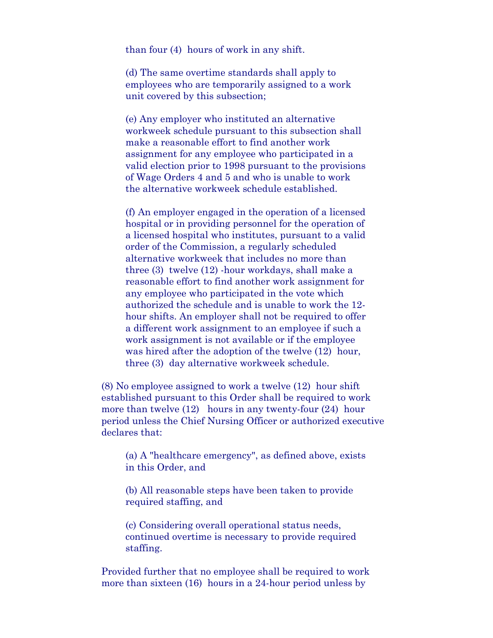than four (4) hours of work in any shift.

(d) The same overtime standards shall apply to employees who are temporarily assigned to a work unit covered by this subsection;

(e) Any employer who instituted an alternative workweek schedule pursuant to this subsection shall make a reasonable effort to find another work assignment for any employee who participated in a valid election prior to 1998 pursuant to the provisions of Wage Orders 4 and 5 and who is unable to work the alternative workweek schedule established.

(f) An employer engaged in the operation of a licensed hospital or in providing personnel for the operation of a licensed hospital who institutes, pursuant to a valid order of the Commission, a regularly scheduled alternative workweek that includes no more than three (3) twelve (12) -hour workdays, shall make a reasonable effort to find another work assignment for any employee who participated in the vote which authorized the schedule and is unable to work the 12 hour shifts. An employer shall not be required to offer a different work assignment to an employee if such a work assignment is not available or if the employee was hired after the adoption of the twelve (12) hour, three (3) day alternative workweek schedule.

(8) No employee assigned to work a twelve (12) hour shift established pursuant to this Order shall be required to work more than twelve (12) hours in any twenty-four (24) hour period unless the Chief Nursing Officer or authorized executive declares that:

(a) A "healthcare emergency", as defined above, exists in this Order, and

(b) All reasonable steps have been taken to provide required staffing, and

(c) Considering overall operational status needs, continued overtime is necessary to provide required staffing.

Provided further that no employee shall be required to work more than sixteen (16) hours in a 24-hour period unless by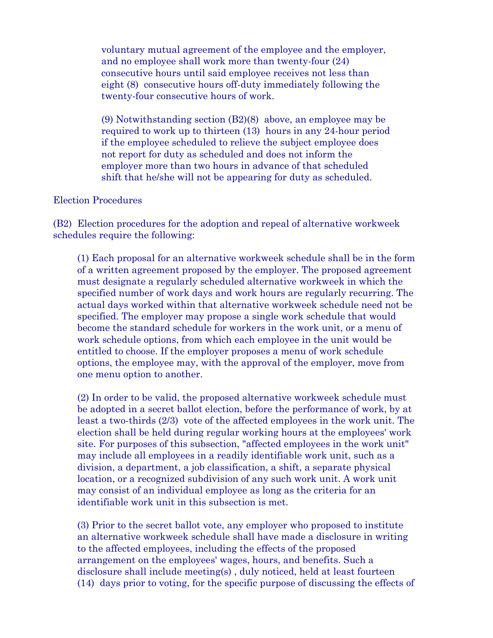voluntary mutual agreement of the employee and the employer, and no employee shall work more than twenty-four (24) consecutive hours until said employee receives not less than eight (8) consecutive hours off-duty immediately following the twenty-four consecutive hours of work.

(9) Notwithstanding section (B2)(8) above, an employee may be required to work up to thirteen (13) hours in any 24-hour period if the employee scheduled to relieve the subject employee does not report for duty as scheduled and does not inform the employer more than two hours in advance of that scheduled shift that he/she will not be appearing for duty as scheduled.

#### Election Procedures

(B2) Election procedures for the adoption and repeal of alternative workweek schedules require the following:

(1) Each proposal for an alternative workweek schedule shall be in the form of a written agreement proposed by the employer. The proposed agreement must designate a regularly scheduled alternative workweek in which the specified number of work days and work hours are regularly recurring. The actual days worked within that alternative workweek schedule need not be specified. The employer may propose a single work schedule that would become the standard schedule for workers in the work unit, or a menu of work schedule options, from which each employee in the unit would be entitled to choose. If the employer proposes a menu of work schedule options, the employee may, with the approval of the employer, move from one menu option to another.

(2) In order to be valid, the proposed alternative workweek schedule must be adopted in a secret ballot election, before the performance of work, by at least a two-thirds (2/3) vote of the affected employees in the work unit. The election shall be held during regular working hours at the employees' work site. For purposes of this subsection, "affected employees in the work unit" may include all employees in a readily identifiable work unit, such as a division, a department, a job classification, a shift, a separate physical location, or a recognized subdivision of any such work unit. A work unit may consist of an individual employee as long as the criteria for an identifiable work unit in this subsection is met.

(3) Prior to the secret ballot vote, any employer who proposed to institute an alternative workweek schedule shall have made a disclosure in writing to the affected employees, including the effects of the proposed arrangement on the employees' wages, hours, and benefits. Such a disclosure shall include meeting(s) , duly noticed, held at least fourteen (14) days prior to voting, for the specific purpose of discussing the effects of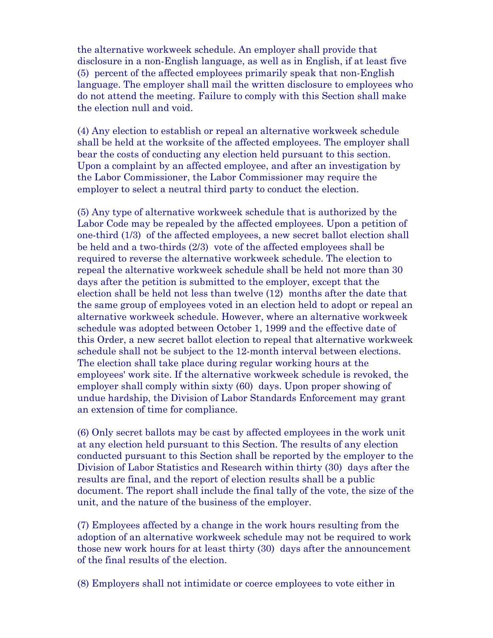the alternative workweek schedule. An employer shall provide that disclosure in a non-English language, as well as in English, if at least five (5) percent of the affected employees primarily speak that non-English language. The employer shall mail the written disclosure to employees who do not attend the meeting. Failure to comply with this Section shall make the election null and void.

(4) Any election to establish or repeal an alternative workweek schedule shall be held at the worksite of the affected employees. The employer shall bear the costs of conducting any election held pursuant to this section. Upon a complaint by an affected employee, and after an investigation by the Labor Commissioner, the Labor Commissioner may require the employer to select a neutral third party to conduct the election.

(5) Any type of alternative workweek schedule that is authorized by the Labor Code may be repealed by the affected employees. Upon a petition of one-third (1/3) of the affected employees, a new secret ballot election shall be held and a two-thirds (2/3) vote of the affected employees shall be required to reverse the alternative workweek schedule. The election to repeal the alternative workweek schedule shall be held not more than 30 days after the petition is submitted to the employer, except that the election shall be held not less than twelve (12) months after the date that the same group of employees voted in an election held to adopt or repeal an alternative workweek schedule. However, where an alternative workweek schedule was adopted between October 1, 1999 and the effective date of this Order, a new secret ballot election to repeal that alternative workweek schedule shall not be subject to the 12-month interval between elections. The election shall take place during regular working hours at the employees' work site. If the alternative workweek schedule is revoked, the employer shall comply within sixty (60) days. Upon proper showing of undue hardship, the Division of Labor Standards Enforcement may grant an extension of time for compliance.

(6) Only secret ballots may be cast by affected employees in the work unit at any election held pursuant to this Section. The results of any election conducted pursuant to this Section shall be reported by the employer to the Division of Labor Statistics and Research within thirty (30) days after the results are final, and the report of election results shall be a public document. The report shall include the final tally of the vote, the size of the unit, and the nature of the business of the employer.

(7) Employees affected by a change in the work hours resulting from the adoption of an alternative workweek schedule may not be required to work those new work hours for at least thirty (30) days after the announcement of the final results of the election.

(8) Employers shall not intimidate or coerce employees to vote either in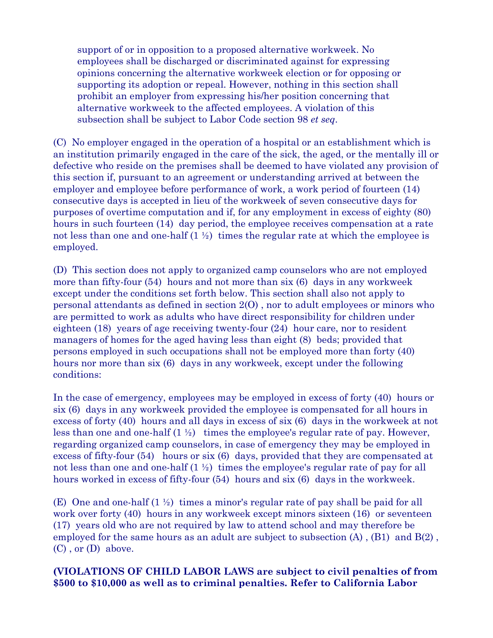support of or in opposition to a proposed alternative workweek. No employees shall be discharged or discriminated against for expressing opinions concerning the alternative workweek election or for opposing or supporting its adoption or repeal. However, nothing in this section shall prohibit an employer from expressing his/her position concerning that alternative workweek to the affected employees. A violation of this subsection shall be subject to Labor Code section 98 *et seq*.

(C) No employer engaged in the operation of a hospital or an establishment which is an institution primarily engaged in the care of the sick, the aged, or the mentally ill or defective who reside on the premises shall be deemed to have violated any provision of this section if, pursuant to an agreement or understanding arrived at between the employer and employee before performance of work, a work period of fourteen (14) consecutive days is accepted in lieu of the workweek of seven consecutive days for purposes of overtime computation and if, for any employment in excess of eighty (80) hours in such fourteen (14) day period, the employee receives compensation at a rate not less than one and one-half  $(1 \frac{1}{2})$  times the regular rate at which the employee is employed.

(D) This section does not apply to organized camp counselors who are not employed more than fifty-four (54) hours and not more than six (6) days in any workweek except under the conditions set forth below. This section shall also not apply to personal attendants as defined in section 2(O) , nor to adult employees or minors who are permitted to work as adults who have direct responsibility for children under eighteen (18) years of age receiving twenty-four (24) hour care, nor to resident managers of homes for the aged having less than eight (8) beds; provided that persons employed in such occupations shall not be employed more than forty (40) hours nor more than six (6) days in any workweek, except under the following conditions:

 excess of fifty-four (54) hours or six (6) days, provided that they are compensated at In the case of emergency, employees may be employed in excess of forty (40) hours or six (6) days in any workweek provided the employee is compensated for all hours in excess of forty (40) hours and all days in excess of six (6) days in the workweek at not less than one and one-half  $(1 \frac{1}{2})$  times the employee's regular rate of pay. However, regarding organized camp counselors, in case of emergency they may be employed in not less than one and one-half (1 ½) times the employee's regular rate of pay for all hours worked in excess of fifty-four (54) hours and six (6) days in the workweek.

(E) One and one-half (1 ½) times a minor's regular rate of pay shall be paid for all work over forty (40) hours in any workweek except minors sixteen (16) or seventeen (17) years old who are not required by law to attend school and may therefore be employed for the same hours as an adult are subject to subsection  $(A)$ ,  $(B1)$  and  $B(2)$ , (C) , or (D) above.

**(VIOLATIONS OF CHILD LABOR LAWS are subject to civil penalties of from \$500 to \$10,000 as well as to criminal penalties. Refer to California Labor**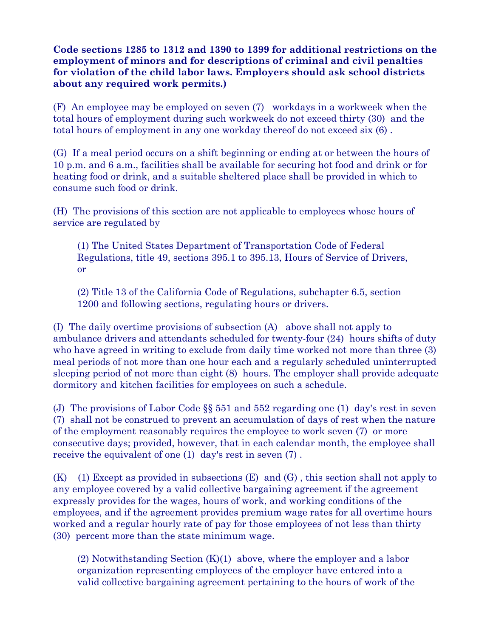### **Code sections 1285 to 1312 and 1390 to 1399 for additional restrictions on the employment of minors and for descriptions of criminal and civil penalties for violation of the child labor laws. Employers should ask school districts about any required work permits.)**

(F) An employee may be employed on seven (7) workdays in a workweek when the total hours of employment during such workweek do not exceed thirty (30) and the total hours of employment in any one workday thereof do not exceed six (6) .

(G) If a meal period occurs on a shift beginning or ending at or between the hours of 10 p.m. and 6 a.m., facilities shall be available for securing hot food and drink or for heating food or drink, and a suitable sheltered place shall be provided in which to consume such food or drink.

(H) The provisions of this section are not applicable to employees whose hours of service are regulated by

(1) The United States Department of Transportation Code of Federal Regulations, title 49, sections 395.1 to 395.13, Hours of Service of Drivers, or

(2) Title 13 of the California Code of Regulations, subchapter 6.5, section 1200 and following sections, regulating hours or drivers.

(I) The daily overtime provisions of subsection (A) above shall not apply to ambulance drivers and attendants scheduled for twenty-four (24) hours shifts of duty who have agreed in writing to exclude from daily time worked not more than three (3) meal periods of not more than one hour each and a regularly scheduled uninterrupted sleeping period of not more than eight (8) hours. The employer shall provide adequate dormitory and kitchen facilities for employees on such a schedule.

(J) The provisions of Labor Code §§ 551 and 552 regarding one (1) day's rest in seven (7) shall not be construed to prevent an accumulation of days of rest when the nature of the employment reasonably requires the employee to work seven (7) or more consecutive days; provided, however, that in each calendar month, the employee shall receive the equivalent of one (1) day's rest in seven (7) .

 $(K)$  (1) Except as provided in subsections  $(E)$  and  $(G)$ , this section shall not apply to any employee covered by a valid collective bargaining agreement if the agreement expressly provides for the wages, hours of work, and working conditions of the employees, and if the agreement provides premium wage rates for all overtime hours worked and a regular hourly rate of pay for those employees of not less than thirty (30) percent more than the state minimum wage.

 $(2)$  Notwithstanding Section  $(K)(1)$  above, where the employer and a labor organization representing employees of the employer have entered into a valid collective bargaining agreement pertaining to the hours of work of the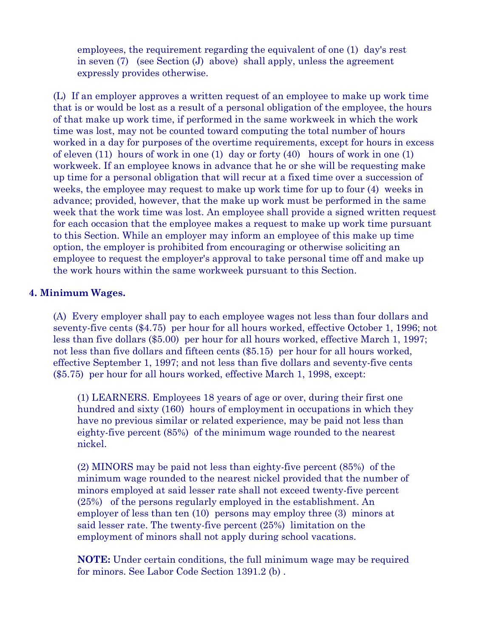employees, the requirement regarding the equivalent of one (1) day's rest in seven (7) (see Section (J) above) shall apply, unless the agreement expressly provides otherwise.

(L) If an employer approves a written request of an employee to make up work time that is or would be lost as a result of a personal obligation of the employee, the hours of that make up work time, if performed in the same workweek in which the work time was lost, may not be counted toward computing the total number of hours worked in a day for purposes of the overtime requirements, except for hours in excess of eleven (11) hours of work in one (1) day or forty (40) hours of work in one (1) workweek. If an employee knows in advance that he or she will be requesting make up time for a personal obligation that will recur at a fixed time over a succession of weeks, the employee may request to make up work time for up to four (4) weeks in advance; provided, however, that the make up work must be performed in the same week that the work time was lost. An employee shall provide a signed written request for each occasion that the employee makes a request to make up work time pursuant to this Section. While an employer may inform an employee of this make up time option, the employer is prohibited from encouraging or otherwise soliciting an employee to request the employer's approval to take personal time off and make up the work hours within the same workweek pursuant to this Section.

#### **4. Minimum Wages.**

(A) Every employer shall pay to each employee wages not less than four dollars and seventy-five cents (\$4.75) per hour for all hours worked, effective October 1, 1996; not less than five dollars (\$5.00) per hour for all hours worked, effective March 1, 1997; not less than five dollars and fifteen cents (\$5.15) per hour for all hours worked, effective September 1, 1997; and not less than five dollars and seventy-five cents (\$5.75) per hour for all hours worked, effective March 1, 1998, except:

(1) LEARNERS. Employees 18 years of age or over, during their first one hundred and sixty (160) hours of employment in occupations in which they have no previous similar or related experience, may be paid not less than eighty-five percent (85%) of the minimum wage rounded to the nearest nickel.

(2) MINORS may be paid not less than eighty-five percent (85%) of the minimum wage rounded to the nearest nickel provided that the number of minors employed at said lesser rate shall not exceed twenty-five percent (25%) of the persons regularly employed in the establishment. An employer of less than ten (10) persons may employ three (3) minors at said lesser rate. The twenty-five percent (25%) limitation on the employment of minors shall not apply during school vacations.

**NOTE:** Under certain conditions, the full minimum wage may be required for minors. See Labor Code Section 1391.2 (b) .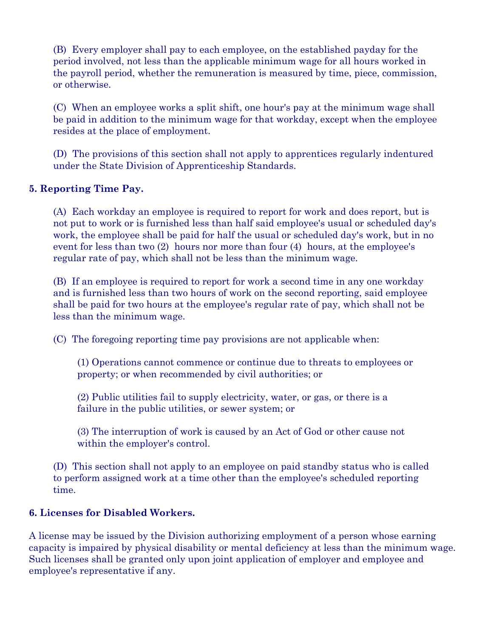(B) Every employer shall pay to each employee, on the established payday for the period involved, not less than the applicable minimum wage for all hours worked in the payroll period, whether the remuneration is measured by time, piece, commission, or otherwise.

(C) When an employee works a split shift, one hour's pay at the minimum wage shall be paid in addition to the minimum wage for that workday, except when the employee resides at the place of employment.

(D) The provisions of this section shall not apply to apprentices regularly indentured under the State Division of Apprenticeship Standards.

### **5. Reporting Time Pay.**

(A) Each workday an employee is required to report for work and does report, but is not put to work or is furnished less than half said employee's usual or scheduled day's work, the employee shall be paid for half the usual or scheduled day's work, but in no event for less than two (2) hours nor more than four (4) hours, at the employee's regular rate of pay, which shall not be less than the minimum wage.

(B) If an employee is required to report for work a second time in any one workday and is furnished less than two hours of work on the second reporting, said employee shall be paid for two hours at the employee's regular rate of pay, which shall not be less than the minimum wage.

(C) The foregoing reporting time pay provisions are not applicable when:

(1) Operations cannot commence or continue due to threats to employees or property; or when recommended by civil authorities; or

(2) Public utilities fail to supply electricity, water, or gas, or there is a failure in the public utilities, or sewer system; or

(3) The interruption of work is caused by an Act of God or other cause not within the employer's control.

 time. (D) This section shall not apply to an employee on paid standby status who is called to perform assigned work at a time other than the employee's scheduled reporting

#### **6. Licenses for Disabled Workers.**

A license may be issued by the Division authorizing employment of a person whose earning capacity is impaired by physical disability or mental deficiency at less than the minimum wage. Such licenses shall be granted only upon joint application of employer and employee and employee's representative if any.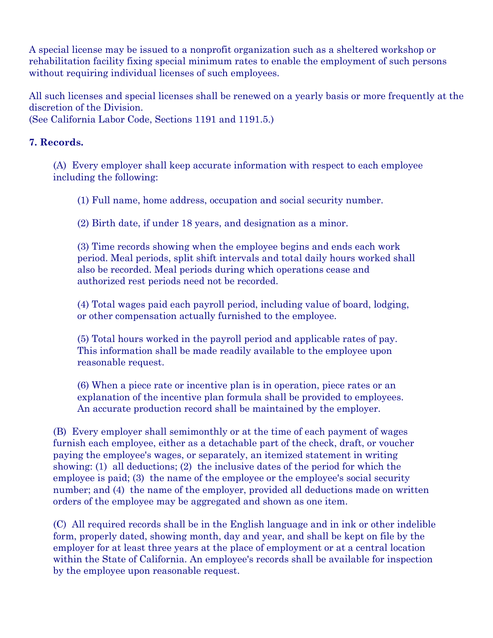A special license may be issued to a nonprofit organization such as a sheltered workshop or rehabilitation facility fixing special minimum rates to enable the employment of such persons without requiring individual licenses of such employees.

All such licenses and special licenses shall be renewed on a yearly basis or more frequently at the discretion of the Division. (See California Labor Code, Sections 1191 and 1191.5.)

### **7. Records.**

(A) Every employer shall keep accurate information with respect to each employee including the following:

(1) Full name, home address, occupation and social security number.

(2) Birth date, if under 18 years, and designation as a minor.

(3) Time records showing when the employee begins and ends each work period. Meal periods, split shift intervals and total daily hours worked shall also be recorded. Meal periods during which operations cease and authorized rest periods need not be recorded.

(4) Total wages paid each payroll period, including value of board, lodging, or other compensation actually furnished to the employee.

(5) Total hours worked in the payroll period and applicable rates of pay. This information shall be made readily available to the employee upon reasonable request.

(6) When a piece rate or incentive plan is in operation, piece rates or an explanation of the incentive plan formula shall be provided to employees. An accurate production record shall be maintained by the employer.

(B) Every employer shall semimonthly or at the time of each payment of wages furnish each employee, either as a detachable part of the check, draft, or voucher paying the employee's wages, or separately, an itemized statement in writing showing: (1) all deductions; (2) the inclusive dates of the period for which the employee is paid; (3) the name of the employee or the employee's social security number; and (4) the name of the employer, provided all deductions made on written orders of the employee may be aggregated and shown as one item.

(C) All required records shall be in the English language and in ink or other indelible form, properly dated, showing month, day and year, and shall be kept on file by the employer for at least three years at the place of employment or at a central location within the State of California. An employee's records shall be available for inspection by the employee upon reasonable request.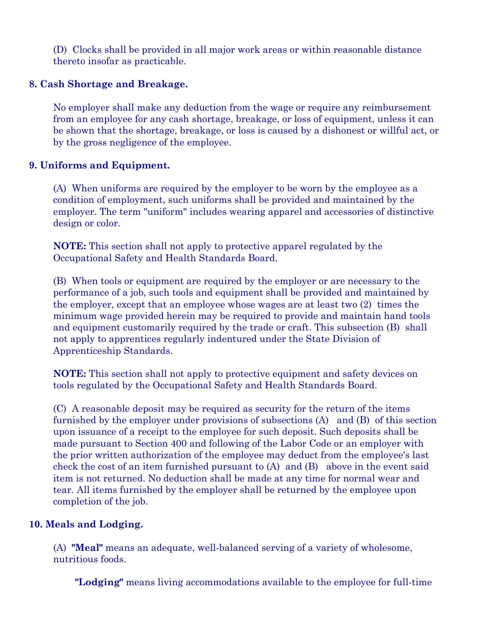(D) Clocks shall be provided in all major work areas or within reasonable distance thereto insofar as practicable.

### **8. Cash Shortage and Breakage.**

No employer shall make any deduction from the wage or require any reimbursement from an employee for any cash shortage, breakage, or loss of equipment, unless it can be shown that the shortage, breakage, or loss is caused by a dishonest or willful act, or by the gross negligence of the employee.

### **9. Uniforms and Equipment.**

(A) When uniforms are required by the employer to be worn by the employee as a condition of employment, such uniforms shall be provided and maintained by the employer. The term "uniform" includes wearing apparel and accessories of distinctive design or color.

**NOTE:** This section shall not apply to protective apparel regulated by the Occupational Safety and Health Standards Board.

(B) When tools or equipment are required by the employer or are necessary to the performance of a job, such tools and equipment shall be provided and maintained by the employer, except that an employee whose wages are at least two (2) times the minimum wage provided herein may be required to provide and maintain hand tools and equipment customarily required by the trade or craft. This subsection (B) shall not apply to apprentices regularly indentured under the State Division of Apprenticeship Standards.

**NOTE:** This section shall not apply to protective equipment and safety devices on tools regulated by the Occupational Safety and Health Standards Board.

(C) A reasonable deposit may be required as security for the return of the items furnished by the employer under provisions of subsections (A) and (B) of this section upon issuance of a receipt to the employee for such deposit. Such deposits shall be made pursuant to Section 400 and following of the Labor Code or an employer with the prior written authorization of the employee may deduct from the employee's last check the cost of an item furnished pursuant to (A) and (B) above in the event said item is not returned. No deduction shall be made at any time for normal wear and tear. All items furnished by the employer shall be returned by the employee upon completion of the job.

# **10. Meals and Lodging.**

(A) **"Meal"** means an adequate, well-balanced serving of a variety of wholesome, nutritious foods.

 **"Lodging"** means living accommodations available to the employee for full-time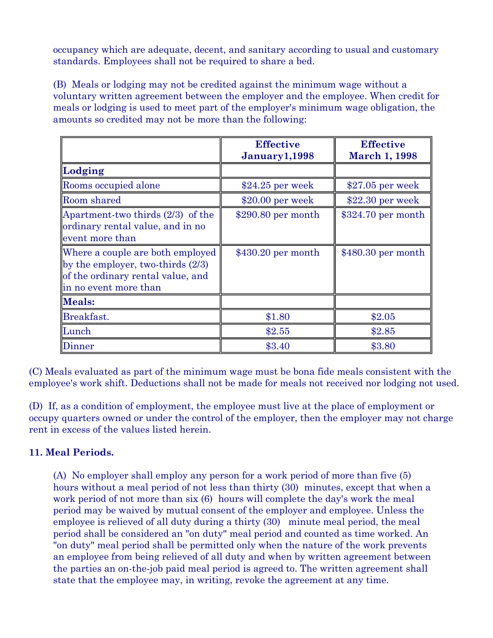occupancy which are adequate, decent, and sanitary according to usual and customary standards. Employees shall not be required to share a bed.

(B) Meals or lodging may not be credited against the minimum wage without a voluntary written agreement between the employer and the employee. When credit for meals or lodging is used to meet part of the employer's minimum wage obligation, the amounts so credited may not be more than the following:

|                                                                                                                                       | <b>Effective</b><br>January1,1998 | <b>Effective</b><br><b>March 1, 1998</b> |
|---------------------------------------------------------------------------------------------------------------------------------------|-----------------------------------|------------------------------------------|
| Lodging                                                                                                                               |                                   |                                          |
| Rooms occupied alone                                                                                                                  | $$24.25$ per week                 | $$27.05$ per week                        |
| Room shared                                                                                                                           | $$20.00$ per week                 | \$22.30 per week                         |
| Apartment-two thirds $(2/3)$ of the<br>ordinary rental value, and in no<br>event more than                                            | $$290.80$ per month               | $$324.70$ per month                      |
| Where a couple are both employed<br>by the employer, two-thirds $(2/3)$<br>of the ordinary rental value, and<br>in no event more than | $$430.20$ per month               | $$480.30$ per month                      |
| Meals:                                                                                                                                |                                   |                                          |
| Breakfast.                                                                                                                            | \$1.80                            | \$2.05                                   |
| Lunch                                                                                                                                 | \$2.55                            | \$2.85                                   |
| Dinner                                                                                                                                | \$3.40                            | \$3.80                                   |

(C) Meals evaluated as part of the minimum wage must be bona fide meals consistent with the employee's work shift. Deductions shall not be made for meals not received nor lodging not used.

(D) If, as a condition of employment, the employee must live at the place of employment or occupy quarters owned or under the control of the employer, then the employer may not charge rent in excess of the values listed herein.

# **11. Meal Periods.**

(A) No employer shall employ any person for a work period of more than five (5) hours without a meal period of not less than thirty (30) minutes, except that when a work period of not more than six (6) hours will complete the day's work the meal period may be waived by mutual consent of the employer and employee. Unless the employee is relieved of all duty during a thirty (30) minute meal period, the meal period shall be considered an "on duty" meal period and counted as time worked. An "on duty" meal period shall be permitted only when the nature of the work prevents an employee from being relieved of all duty and when by written agreement between the parties an on-the-job paid meal period is agreed to. The written agreement shall state that the employee may, in writing, revoke the agreement at any time.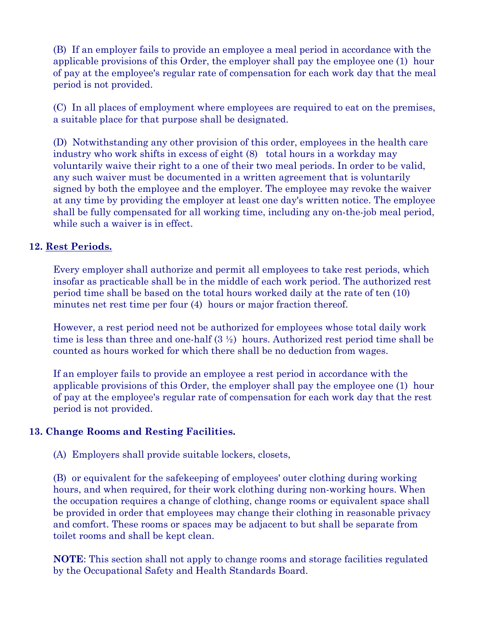(B) If an employer fails to provide an employee a meal period in accordance with the applicable provisions of this Order, the employer shall pay the employee one (1) hour of pay at the employee's regular rate of compensation for each work day that the meal period is not provided.

(C) In all places of employment where employees are required to eat on the premises, a suitable place for that purpose shall be designated.

(D) Notwithstanding any other provision of this order, employees in the health care industry who work shifts in excess of eight (8) total hours in a workday may voluntarily waive their right to a one of their two meal periods. In order to be valid, any such waiver must be documented in a written agreement that is voluntarily signed by both the employee and the employer. The employee may revoke the waiver at any time by providing the employer at least one day's written notice. The employee shall be fully compensated for all working time, including any on-the-job meal period, while such a waiver is in effect.

### **12. Rest Periods.**

 period time shall be based on the total hours worked daily at the rate of ten (10) minutes net rest time per four (4) hours or major fraction thereof. Every employer shall authorize and permit all employees to take rest periods, which insofar as practicable shall be in the middle of each work period. The authorized rest

However, a rest period need not be authorized for employees whose total daily work time is less than three and one-half (3 ½) hours. Authorized rest period time shall be counted as hours worked for which there shall be no deduction from wages.

If an employer fails to provide an employee a rest period in accordance with the applicable provisions of this Order, the employer shall pay the employee one (1) hour of pay at the employee's regular rate of compensation for each work day that the rest period is not provided.

#### **13. Change Rooms and Resting Facilities.**

(A) Employers shall provide suitable lockers, closets,

(B) or equivalent for the safekeeping of employees' outer clothing during working hours, and when required, for their work clothing during non-working hours. When the occupation requires a change of clothing, change rooms or equivalent space shall be provided in order that employees may change their clothing in reasonable privacy and comfort. These rooms or spaces may be adjacent to but shall be separate from toilet rooms and shall be kept clean.

**NOTE**: This section shall not apply to change rooms and storage facilities regulated by the Occupational Safety and Health Standards Board.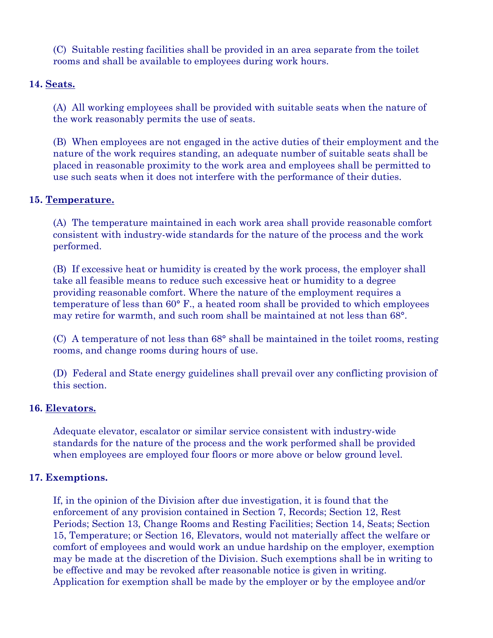(C) Suitable resting facilities shall be provided in an area separate from the toilet rooms and shall be available to employees during work hours.

### **14. Seats.**

(A) All working employees shall be provided with suitable seats when the nature of the work reasonably permits the use of seats.

(B) When employees are not engaged in the active duties of their employment and the nature of the work requires standing, an adequate number of suitable seats shall be placed in reasonable proximity to the work area and employees shall be permitted to use such seats when it does not interfere with the performance of their duties.

### **15. Temperature.**

performed. (A) The temperature maintained in each work area shall provide reasonable comfort consistent with industry-wide standards for the nature of the process and the work

(B) If excessive heat or humidity is created by the work process, the employer shall take all feasible means to reduce such excessive heat or humidity to a degree providing reasonable comfort. Where the nature of the employment requires a temperature of less than 60° F., a heated room shall be provided to which employees may retire for warmth, and such room shall be maintained at not less than 68°.

(C) A temperature of not less than 68° shall be maintained in the toilet rooms, resting rooms, and change rooms during hours of use.

(D) Federal and State energy guidelines shall prevail over any conflicting provision of this section.

#### **16. Elevators.**

Adequate elevator, escalator or similar service consistent with industry-wide standards for the nature of the process and the work performed shall be provided when employees are employed four floors or more above or below ground level.

### **17. Exemptions.**

If, in the opinion of the Division after due investigation, it is found that the enforcement of any provision contained in Section 7, Records; Section 12, Rest Periods; Section 13, Change Rooms and Resting Facilities; Section 14, Seats; Section 15, Temperature; or Section 16, Elevators, would not materially affect the welfare or comfort of employees and would work an undue hardship on the employer, exemption may be made at the discretion of the Division. Such exemptions shall be in writing to be effective and may be revoked after reasonable notice is given in writing. Application for exemption shall be made by the employer or by the employee and/or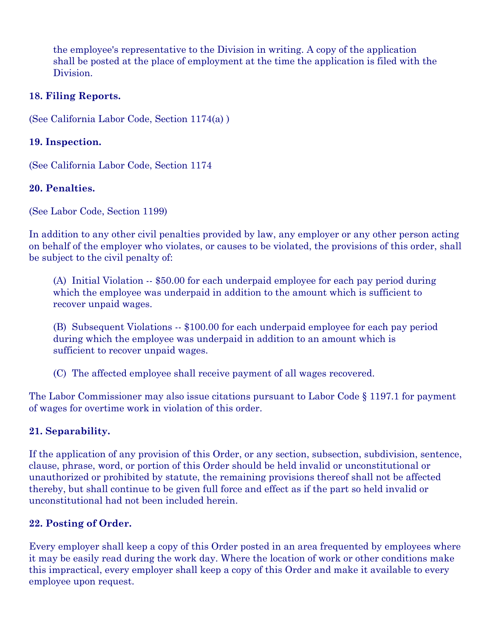the employee's representative to the Division in writing. A copy of the application shall be posted at the place of employment at the time the application is filed with the Division.

### **18. Filing Reports.**

(See California Labor Code, Section 1174(a) )

### **19. Inspection.**

(See California Labor Code, Section 1174

# **20. Penalties.**

(See Labor Code, Section 1199)

In addition to any other civil penalties provided by law, any employer or any other person acting on behalf of the employer who violates, or causes to be violated, the provisions of this order, shall be subject to the civil penalty of:

(A) Initial Violation -- \$50.00 for each underpaid employee for each pay period during which the employee was underpaid in addition to the amount which is sufficient to recover unpaid wages.

(B) Subsequent Violations -- \$100.00 for each underpaid employee for each pay period during which the employee was underpaid in addition to an amount which is sufficient to recover unpaid wages.

(C) The affected employee shall receive payment of all wages recovered.

The Labor Commissioner may also issue citations pursuant to Labor Code § 1197.1 for payment of wages for overtime work in violation of this order.

# **21. Separability.**

If the application of any provision of this Order, or any section, subsection, subdivision, sentence, clause, phrase, word, or portion of this Order should be held invalid or unconstitutional or unauthorized or prohibited by statute, the remaining provisions thereof shall not be affected thereby, but shall continue to be given full force and effect as if the part so held invalid or unconstitutional had not been included herein.

# **22. Posting of Order.**

Every employer shall keep a copy of this Order posted in an area frequented by employees where it may be easily read during the work day. Where the location of work or other conditions make this impractical, every employer shall keep a copy of this Order and make it available to every employee upon request.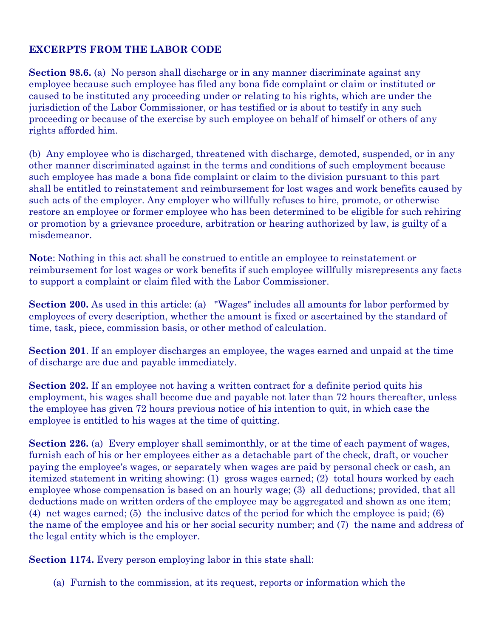### **EXCERPTS FROM THE LABOR CODE**

**Section 98.6.** (a) No person shall discharge or in any manner discriminate against any employee because such employee has filed any bona fide complaint or claim or instituted or caused to be instituted any proceeding under or relating to his rights, which are under the jurisdiction of the Labor Commissioner, or has testified or is about to testify in any such proceeding or because of the exercise by such employee on behalf of himself or others of any rights afforded him.

(b) Any employee who is discharged, threatened with discharge, demoted, suspended, or in any other manner discriminated against in the terms and conditions of such employment because such employee has made a bona fide complaint or claim to the division pursuant to this part shall be entitled to reinstatement and reimbursement for lost wages and work benefits caused by such acts of the employer. Any employer who willfully refuses to hire, promote, or otherwise restore an employee or former employee who has been determined to be eligible for such rehiring or promotion by a grievance procedure, arbitration or hearing authorized by law, is guilty of a misdemeanor.

**Note**: Nothing in this act shall be construed to entitle an employee to reinstatement or reimbursement for lost wages or work benefits if such employee willfully misrepresents any facts to support a complaint or claim filed with the Labor Commissioner.

**Section 200.** As used in this article: (a) "Wages" includes all amounts for labor performed by employees of every description, whether the amount is fixed or ascertained by the standard of time, task, piece, commission basis, or other method of calculation.

**Section 201**. If an employer discharges an employee, the wages earned and unpaid at the time of discharge are due and payable immediately.

**Section 202.** If an employee not having a written contract for a definite period quits his employment, his wages shall become due and payable not later than 72 hours thereafter, unless the employee has given 72 hours previous notice of his intention to quit, in which case the employee is entitled to his wages at the time of quitting.

**Section 226.** (a) Every employer shall semimonthly, or at the time of each payment of wages, furnish each of his or her employees either as a detachable part of the check, draft, or voucher paying the employee's wages, or separately when wages are paid by personal check or cash, an itemized statement in writing showing: (1) gross wages earned; (2) total hours worked by each employee whose compensation is based on an hourly wage; (3) all deductions; provided, that all deductions made on written orders of the employee may be aggregated and shown as one item; (4) net wages earned; (5) the inclusive dates of the period for which the employee is paid; (6) the name of the employee and his or her social security number; and (7) the name and address of the legal entity which is the employer.

**Section 1174.** Every person employing labor in this state shall:

(a) Furnish to the commission, at its request, reports or information which the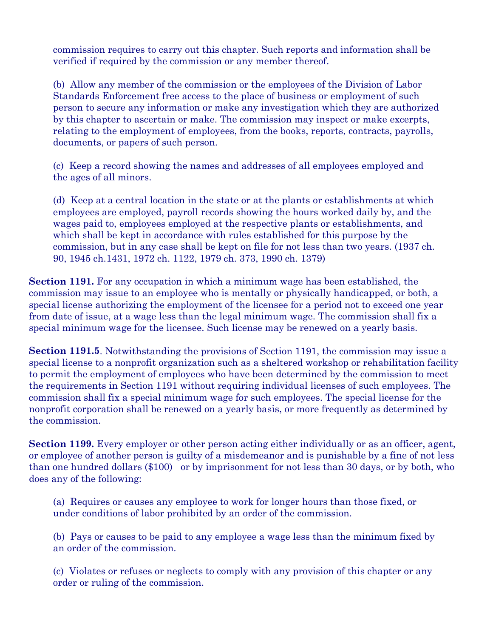commission requires to carry out this chapter. Such reports and information shall be verified if required by the commission or any member thereof.

(b) Allow any member of the commission or the employees of the Division of Labor Standards Enforcement free access to the place of business or employment of such person to secure any information or make any investigation which they are authorized by this chapter to ascertain or make. The commission may inspect or make excerpts, relating to the employment of employees, from the books, reports, contracts, payrolls, documents, or papers of such person.

(c) Keep a record showing the names and addresses of all employees employed and the ages of all minors.

(d) Keep at a central location in the state or at the plants or establishments at which employees are employed, payroll records showing the hours worked daily by, and the wages paid to, employees employed at the respective plants or establishments, and which shall be kept in accordance with rules established for this purpose by the commission, but in any case shall be kept on file for not less than two years. (1937 ch. 90, 1945 ch.1431, 1972 ch. 1122, 1979 ch. 373, 1990 ch. 1379)

 special minimum wage for the licensee. Such license may be renewed on a yearly basis. **Section 1191.** For any occupation in which a minimum wage has been established, the commission may issue to an employee who is mentally or physically handicapped, or both, a special license authorizing the employment of the licensee for a period not to exceed one year from date of issue, at a wage less than the legal minimum wage. The commission shall fix a

**Section 1191.5**. Notwithstanding the provisions of Section 1191, the commission may issue a special license to a nonprofit organization such as a sheltered workshop or rehabilitation facility to permit the employment of employees who have been determined by the commission to meet the requirements in Section 1191 without requiring individual licenses of such employees. The commission shall fix a special minimum wage for such employees. The special license for the nonprofit corporation shall be renewed on a yearly basis, or more frequently as determined by the commission.

**Section 1199.** Every employer or other person acting either individually or as an officer, agent, or employee of another person is guilty of a misdemeanor and is punishable by a fine of not less than one hundred dollars (\$100) or by imprisonment for not less than 30 days, or by both, who does any of the following:

(a) Requires or causes any employee to work for longer hours than those fixed, or under conditions of labor prohibited by an order of the commission.

(b) Pays or causes to be paid to any employee a wage less than the minimum fixed by an order of the commission.

(c) Violates or refuses or neglects to comply with any provision of this chapter or any order or ruling of the commission.